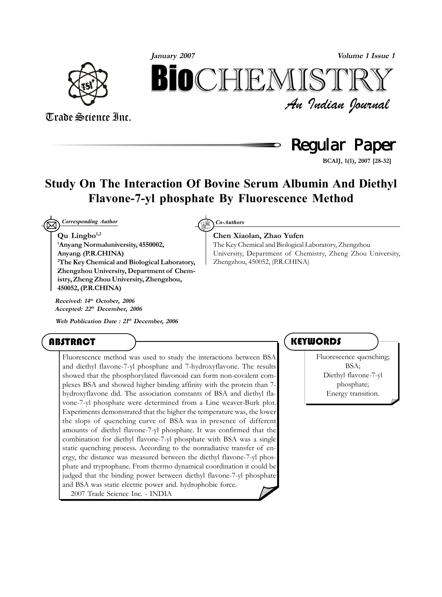

*An Indian Journal* Trade Science Inc. **Volume 1 Issue 1 January 2007** BIOCHEMIST

**Chen Xiaolan, Zhao Yufen**

Zhengzhou, 450052, (P.R.CHINA)

The Key Chemical and Biological Laboratory, Zhengzhou

University, Department of Chemistry, Zheng Zhou University,

## **Regular Paper**

**BCAIJ, 1(1), 2007 [28-32]**

### **Study On The Interaction Of Bovine Serum Albumin And Diethyl Flavone-7-yl phosphate By Fluorescence Method**

 $\boxtimes$ *Corresponding Author Co-Authors*

#### **Qu Lingbo1,2**

**1 Anyang Normaluniversity, 4550002, Anyang. (P.R.CHINA) 2 The Key Chemical and Biological Laboratory, Zhengzhou University, Department of Chemistry, Zheng Zhou University, Zhengzhou, 450052, (P.R.CHINA)**

**Received: 14th October, 2006 Accepted: 22th December, 2006**

**Web Publication Date : 21th December, 2006**

### **ABSTRACT**

Fluorescence method was used to study the interactions between BSA and diethyl flavone-7-yl phosphate and 7-hydroxyflavone. The results showed that the phosphorylated flavonoid can form non-covalent complexes BSA and showed higher binding affinity with the protein than 7 hydroxyflavone did. The association constants of BSA and diethyl flavone-7-yl phosphate were determined from a Line weaver-Burk plot. Experiments demonstrated that the higher the temperature was, the lower the slops of quenching curve of BSA was in presence of different amounts of diethyl flavone-7-yl phosphate. It was confirmed that the combination for diethyl flavone-7-yl phosphate with BSA was a single static quenching process. According to the nonradiative transfer of energy, the distance was measured between the diethyl flavone-7-yl phosphate and tryptophane. From thermo dynamical coordination it could be judged that the binding power between diethyl flavone-7-yl phosphate and BSA was static electric power and. hydrophobic force. 2007 Trade Science Inc. - INDIA

### **KEYWORDS**

Fluorescence quenching; BSA; Diethyl flavone-7-yl phosphate; Energy transition.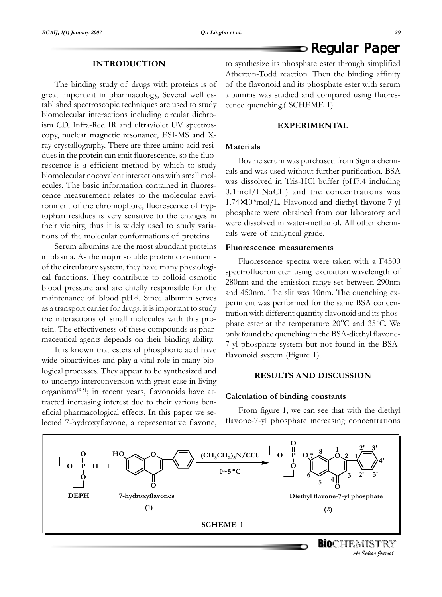### $\blacktriangleright$  Regular Paper

#### **INTRODUCTION**

The binding study of drugs with proteins is of great important in pharmacology, Several well established spectroscopic techniques are used to study biomolecular interactions including circular dichroism CD, Infra-Red IR and ultraviolet UV spectroscopy, nuclear magnetic resonance, ESI-MS and Xray crystallography. There are three amino acid residues in the protein can emit fluorescence, so the fluorescence is a efficient method by which to study biomolecular nocovalent interactions with small molecules. The basic information contained in fluorescence measurement relates to the molecular environment of the chromophore, fluorescence of tryptophan residues is very sensitive to the changes in their vicinity, thus it is widely used to study variations of the molecular conformations of proteins.

Serum albumins are the most abundant proteins in plasma. As the major soluble protein constituents of the circulatory system, they have many physiological functions. They contribute to colloid osmotic blood pressure and are chiefly responsible for the maintenance of blood pH**[1]**. Since albumin serves as a transport carrier for drugs, it is important to study the interactions of small molecules with this protein. The effectiveness of these compounds as pharmaceutical agents depends on their binding ability.

It is known that esters of phosphoric acid have wide bioactivities and play a vital role in many biological processes. They appear to be synthesized and to undergo interconversion with great ease in living organisms**[2-5]**; in recent years, flavonoids have attracted increasing interest due to their various beneficial pharmacological effects. In this paper we selected 7-hydroxyflavone, a representative flavone,

to synthesize its phosphate ester through simplified Atherton-Todd reaction. Then the binding affinity of the flavonoid and its phosphate ester with serum albumins was studied and compared using fluorescence quenching.( SCHEME 1)

#### **EXPERIMENTAL**

#### **Materials**

Bovine serum was purchased from Sigma chemicals and was used without further purification. BSA was dissolved in Tris-HCl buffer (pH7.4 including 0.1mol/LNaCl ) and the concentrations was  $1.74\times10^{6}$ mol/L. Flavonoid and diethyl flavone-7-yl phosphate were obtained from our laboratory and were dissolved in water-methanol. All other chemicals were of analytical grade.

#### **Fluorescence measurements**

Fluorescence spectra were taken with a F4500 spectrofluorometer using excitation wavelength of 280nm and the emission range set between 290nm and 450nm. The slit was 10nm. The quenching experiment was performed for the same BSA concentration with different quantity flavonoid and its phosphate ester at the temperature 20°C and 35°C. We only found the quenching in the BSA-diethyl flavone-7-yl phosphate system but not found in the BSAflavonoid system (Figure 1).

#### **RESULTS AND DISCUSSION**

#### **Calculation of binding constants**

From figure 1, we can see that with the diethyl flavone-7-yl phosphate increasing concentrations

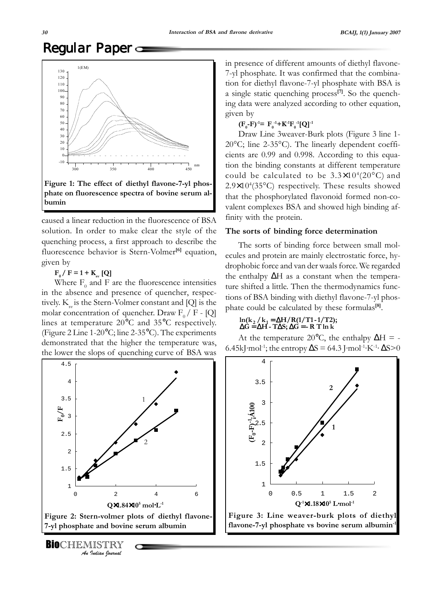# Regular Paper



caused a linear reduction in the fluorescence of BSA solution. In order to make clear the style of the quenching process, a first approach to describe the fluorescence behavior is Stern-Volmer<sup>[6]</sup> equation, given by

 $F_0 / F = 1 + K_{\rm sv}$  [Q]

Where  $F_0$  and F are the fluorescence intensities in the absence and presence of quencher, respectively.  $K_{av}$  is the Stern-Volmer constant and [Q] is the molar concentration of quencher. Draw  $F_0 / F$  - [Q] lines at temperature 20°C and 35°C respectively. (Figure 2 Line 1-20°C; line 2-35°C). The experiments demonstrated that the higher the temperature was, the lower the slops of quenching curve of BSA was



*An Indian Journal* **BIO**CHEMISTRY in presence of different amounts of diethyl flavone-7-yl phosphate. It was confirmed that the combination for diethyl flavone-7-yl phosphate with BSA is a single static quenching process**[7]**. So the quenching data were analyzed according to other equation, given by

 $(\mathbf{F}_{0} - \mathbf{F})^{-1} = \mathbf{F}_{0}^{-1} + \mathbf{K}^{-1} \mathbf{F}_{0}^{-1} [\mathbf{Q}]^{-1}$ 

Draw Line 3weaver-Burk plots (Figure 3 line 1- 20°C; line 2-35°C). The linearly dependent coefficients are 0.99 and 0.998. According to this equation the binding constants at different temperature could be calculated to be  $3.3\times10^{4}(20^{\circ}C)$  and 2.9×10<sup>4</sup>(35°C) respectively. These results showed that the phosphorylated flavonoid formed non-covalent complexes BSA and showed high binding affinity with the protein.

#### **The sorts of binding force determination**

The sorts of binding force between small molecules and protein are mainly electrostatic force, hydrophobic force and van der waals force. We regarded the enthalpy ∆H as a constant when the temperature shifted a little. Then the thermodynamics functions of BSA binding with diethyl flavone-7-yl phosphate could be calculated by these formulas**[8]**.

## $\ln(k_2 / k_1 = \Delta H / R(1/T1-1/T2);$ <br> $\Delta G = \Delta H - T\Delta S; \Delta G = - R T \ln k$

At the temperature 20 $^{\circ}$ C, the enthalpy  $\Delta H = -$ 6.45kJ·mol<sup>-1</sup>; the entropy  $\Delta S = 64.3$  J·mol<sup>-1</sup>·K<sup>-1</sup>·  $\Delta S > 0$ 

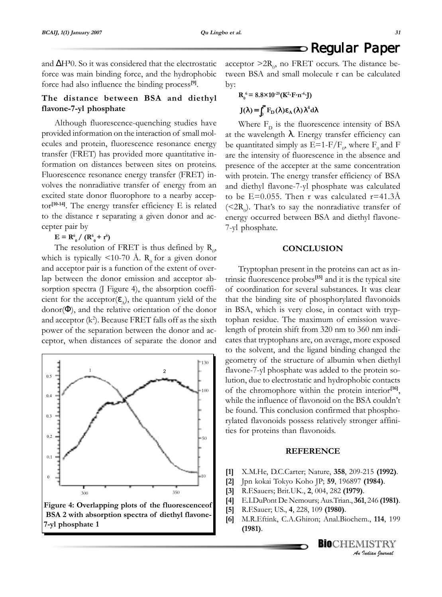### $\blacktriangleright$  Regular Paper

and ∆H**³**0. So it was considered that the electrostatic force was main binding force, and the hydrophobic force had also influence the binding process**[9]**.

#### **The distance between BSA and diethyl flavone-7-yl phosphate**

Although fluorescence-quenching studies have provided information on the interaction of small molecules and protein, fluorescence resonance energy transfer (FRET) has provided more quantitative information on distances between sites on proteins. Fluorescence resonance energy transfer (FRET) involves the nonradiative transfer of energy from an excited state donor fluorophore to a nearby acceptor**[10-14]**. The energy transfer efficiency E is related to the distance r separating a given donor and accepter pair by

 $E = R_0^6 / (R_0^6 + r^6)$ 

The resolution of FRET is thus defined by  $R_0$ , which is typically <10-70 Å.  $R_0$  for a given donor and acceptor pair is a function of the extent of overlap between the donor emission and acceptor absorption spectra (J Figure 4), the absorption coefficient for the acceptor $(\varepsilon_A)$ , the quantum yield of the  $donor(\Phi)$ , and the relative orientation of the donor and acceptor  $(k^2)$ . Because FRET falls off as the sixth power of the separation between the donor and acceptor, when distances of separate the donor and



acceptor  $>2R_0$ , no FRET occurs. The distance between BSA and small molecule r can be calculated by:

$$
R_0^6 = 8.8 \times 10^{-25} (K^2 \cdot F \cdot n^{-6} \cdot J)
$$

$$
J(\lambda) = \int_0^\infty F_D(\lambda) \varepsilon_A(\lambda) \lambda^4 d\lambda
$$

Where  $F<sub>D</sub>$  is the fluorescence intensity of BSA at the wavelength  $λ$ . Energy transfer efficiency can be quantitated simply as  $E=1-F/F_0$ , where  $F_0$  and F are the intensity of fluorescence in the absence and presence of the accepter at the same concentration with protein. The energy transfer efficiency of BSA and diethyl flavone-7-yl phosphate was calculated to be E=0.055. Then r was calculated  $r=41.3\text{\AA}$ ( ${}^{22}R_{0}$ ). That's to say the nonradiative transfer of energy occurred between BSA and diethyl flavone-7-yl phosphate.

#### **CONCLUSION**

Tryptophan present in the proteins can act as intrinsic fluorescence probes**[15]** and it is the typical site of coordination for several substances. It was clear that the binding site of phosphorylated flavonoids in BSA, which is very close, in contact with tryptophan residue. The maximum of emission wavelength of protein shift from 320 nm to 360 nm indicates that tryptophans are, on average, more exposed to the solvent, and the ligand binding changed the geometry of the structure of albumin when diethyl flavone-7-yl phosphate was added to the protein solution, due to electrostatic and hydrophobic contacts of the chromophore within the protein interior**[16]**, while the influence of flavonoid on the BSA couldn't be found. This conclusion confirmed that phosphorylated flavonoids possess relatively stronger affinities for proteins than flavonoids.

#### **REFERENCE**

- **[1]** X.M.He, D.C.Carter; Nature, **358**, 209-215 **(1992)**.
- **[2]** Jpn kokai Tokyo Koho JP; **59**, 196897 **(1984)**.
- **[3]** R.F.Sauers; Brit.UK., **2**, 004, 282 **(1979)**.
- **[4]** E.I.DuPont De Nemours; Aus.Trian., **361**, 246 **(1981)**.
- **[5]** R.F.Sauer; US., **4**, 228, 109 **(1980)**.
- **[6]** M.R.Eftink, C.A.Ghiron; Anal.Biochem., **114**, 199 **(1981)**.